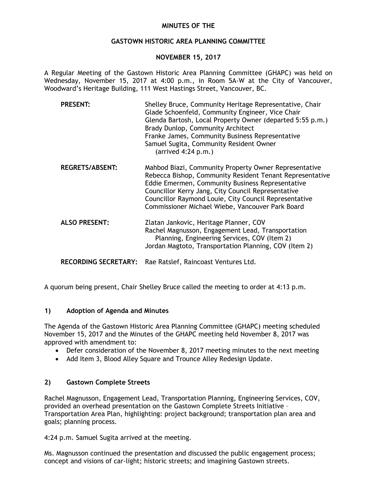#### **MINUTES OF THE**

#### **GASTOWN HISTORIC AREA PLANNING COMMITTEE**

#### **NOVEMBER 15, 2017**

A Regular Meeting of the Gastown Historic Area Planning Committee (GHAPC) was held on Wednesday, November 15, 2017 at 4:00 p.m., in Room 5A-W at the City of Vancouver, Woodward's Heritage Building, 111 West Hastings Street, Vancouver, BC.

| <b>PRESENT:</b>        | Shelley Bruce, Community Heritage Representative, Chair<br>Glade Schoenfeld, Community Engineer, Vice Chair<br>Glenda Bartosh, Local Property Owner (departed 5:55 p.m.)<br>Brady Dunlop, Community Architect<br>Franke James, Community Business Representative<br>Samuel Sugita, Community Resident Owner<br>$(\text{arrived } 4:24 \text{ p.m.})$ |
|------------------------|------------------------------------------------------------------------------------------------------------------------------------------------------------------------------------------------------------------------------------------------------------------------------------------------------------------------------------------------------|
| <b>REGRETS/ABSENT:</b> | Mahbod Biazi, Community Property Owner Representative<br>Rebecca Bishop, Community Resident Tenant Representative<br>Eddie Emermen, Community Business Representative<br>Councillor Kerry Jang, City Council Representative<br>Councillor Raymond Louie, City Council Representative<br>Commissioner Michael Wiebe, Vancouver Park Board             |

**ALSO PRESENT:** Zlatan Jankovic, Heritage Planner, COV Rachel Magnusson, Engagement Lead, Transportation Planning, Engineering Services, COV (Item 2) Jordan Magtoto, Transportation Planning, COV (Item 2)

**RECORDING SECRETARY:** Rae Ratslef, Raincoast Ventures Ltd.

A quorum being present, Chair Shelley Bruce called the meeting to order at 4:13 p.m.

## **1) Adoption of Agenda and Minutes**

The Agenda of the Gastown Historic Area Planning Committee (GHAPC) meeting scheduled November 15, 2017 and the Minutes of the GHAPC meeting held November 8, 2017 was approved with amendment to:

- Defer consideration of the November 8, 2017 meeting minutes to the next meeting
- Add Item 3, Blood Alley Square and Trounce Alley Redesign Update.

## **2) Gastown Complete Streets**

Rachel Magnusson, Engagement Lead, Transportation Planning, Engineering Services, COV, provided an overhead presentation on the Gastown Complete Streets Initiative – Transportation Area Plan, highlighting: project background; transportation plan area and goals; planning process.

4:24 p.m. Samuel Sugita arrived at the meeting.

Ms. Magnusson continued the presentation and discussed the public engagement process; concept and visions of car-light; historic streets; and imagining Gastown streets.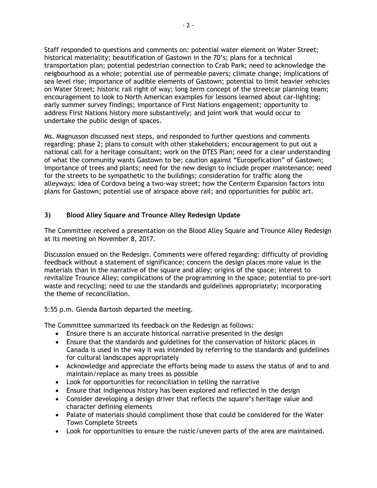Staff responded to questions and comments on: potential water element on Water Street; historical materiality; beautification of Gastown in the 70's; plans for a technical transportation plan; potential pedestrian connection to Crab Park; need to acknowledge the neigbourhood as a whole; potential use of permeable pavers; climate change; implications of sea level rise; importance of audible elements of Gastown; potential to limit heavier vehicles on Water Street; historic rail right of way; long term concept of the streetcar planning team; encouragement to look to North American examples for lessons learned about car-lighting; early summer survey findings; importance of First Nations engagement; opportunity to address First Nations history more substantively; and joint work that would occur to undertake the public design of spaces.

Ms. Magnusson discussed next steps, and responded to further questions and comments regarding: phase 2; plans to consult with other stakeholders; encouragement to put out a national call for a heritage consultant; work on the DTES Plan; need for a clear understanding of what the community wants Gastown to be; caution against "Europefication" of Gastown; importance of trees and plants; need for the new design to include proper maintenance; need for the streets to be sympathetic to the buildings; consideration for traffic along the alleyways; idea of Cordova being a two-way street; how the Centerm Expansion factors into plans for Gastown; potential use of airspace above rail; and opportunities for public art.

## **3) Blood Alley Square and Trounce Alley Redesign Update**

The Committee received a presentation on the Blood Alley Square and Trounce Alley Redesign at its meeting on November 8, 2017.

Discussion ensued on the Redesign. Comments were offered regarding: difficulty of providing feedback without a statement of significance; concern the design places more value in the materials than in the narrative of the square and alley; origins of the space; interest to revitalize Trounce Alley; complications of the programming in the space; potential to pre-sort waste and recycling; need to use the standards and guidelines appropriately; incorporating the theme of reconciliation.

5:55 p.m. Glenda Bartosh departed the meeting.

The Committee summarized its feedback on the Redesign as follows:

- Ensure there is an accurate historical narrative presented in the design
- Ensure that the standards and guidelines for the conservation of historic places in Canada is used in the way it was intended by referring to the standards and guidelines for cultural landscapes appropriately
- Acknowledge and appreciate the efforts being made to assess the status of and to and maintain/replace as many trees as possible
- Look for opportunities for reconciliation in telling the narrative
- Ensure that Indigenous history has been explored and reflected in the design
- Consider developing a design driver that reflects the square's heritage value and character defining elements
- Palate of materials should compliment those that could be considered for the Water Town Complete Streets
- Look for opportunities to ensure the rustic/uneven parts of the area are maintained.